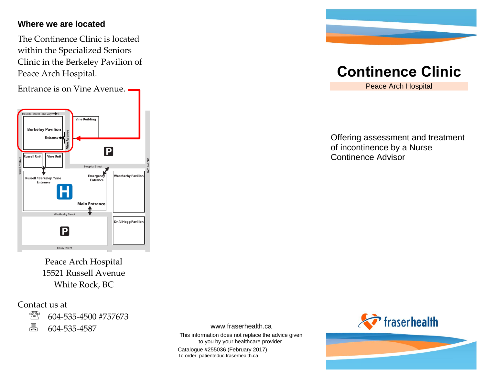### **Where we are located**

The Continence Clinic is located within the Specialized Seniors Clinic in the Berkeley Pavilion of Peace Arch Hospital.

Entrance is on Vine Avenue.



Peace Arch Hospital 15521 Russell Avenue White Rock, BC

Contact us at



604-535-4587

www.fraserhealth.ca

This information does not replace the advice given to you by your healthcare provider.

Catalogue #255036 (February 2017) To order: patienteduc.fraserhealth.ca



# **Continence Clinic**

Peace Arch Hospital

Offering assessment and treatment of incontinence by a Nurse Continence Advisor